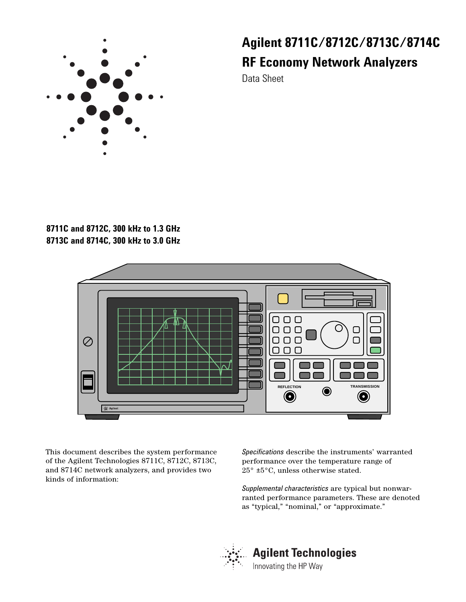

# **Agilent 8711C/8712C/8713C/8714C RF Economy Network Analyzers**

Data Sheet

## **8711C and 8712C, 300 kHz to 1.3 GHz 8713C and 8714C, 300 kHz to 3.0 GHz**



This document describes the system performance of the Agilent Technologies 8711C, 8712C, 8713C, and 8714C network analyzers, and provides two kinds of information:

*Specifications* describe the instruments' warranted performance over the temperature range of 25° ±5°C, unless otherwise stated.

*Supplemental characteristics* are typical but nonwarranted performance parameters. These are denoted as "typical," "nominal," or "approximate."



# **Agilent Technologies**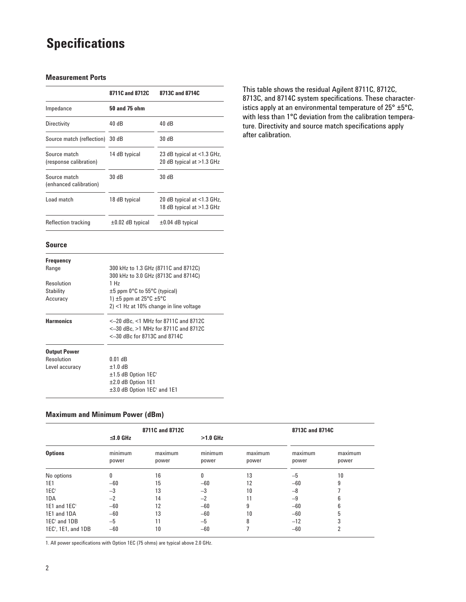## **Specifications**

#### **Measurement Ports**

|                                        | 8711C and 8712C       | 8713C and 8714C                                            |
|----------------------------------------|-----------------------|------------------------------------------------------------|
| Impedance                              | 50 and 75 ohm         |                                                            |
| Directivity                            | 40dB                  | 40 dB                                                      |
| Source match (reflection) 30 dB        |                       | 30 dB                                                      |
| Source match<br>(response calibration) | 14 dB typical         | 23 dB typical at $<$ 1.3 GHz,<br>20 dB typical at >1.3 GHz |
| Source match<br>(enhanced calibration) | 30 dB                 | 30 dB                                                      |
| Load match                             | 18 dB typical         | 20 dB typical at $<$ 1.3 GHz,<br>18 dB typical at >1.3 GHz |
| Reflection tracking                    | $\pm 0.02$ dB typical | $\pm 0.04$ dB typical                                      |

This table shows the residual Agilent 8711C, 8712C, 8713C, and 8714C system specifications. These characteristics apply at an environmental temperature of 25° ±5°C, with less than 1°C deviation from the calibration temperature. Directivity and source match specifications apply after calibration.

#### **Source**

| <b>Frequency</b>    |                                                   |
|---------------------|---------------------------------------------------|
| Range               | 300 kHz to 1.3 GHz (8711C and 8712C)              |
|                     | 300 kHz to 3.0 GHz (8713C and 8714C)              |
| Resolution          | 1 Hz                                              |
| Stability           | $\pm 5$ ppm 0°C to 55°C (typical)                 |
| Accuracy            | 1) $\pm 5$ ppm at 25 $\degree$ C $\pm 5\degree$ C |
|                     | $2$ <1 Hz at 10% change in line voltage           |
| <b>Harmonics</b>    | <–20 dBc, <1 MHz for 8711C and 8712C              |
|                     | <-30 dBc, >1 MHz for 8711C and 8712C              |
|                     | $\leq -30$ dBc for 8713C and 8714C                |
| <b>Output Power</b> |                                                   |
| Resolution          | $0.01$ dB                                         |
| Level accuracy      | $±1.0$ dB                                         |
|                     | $\pm 1.5$ dB Option 1EC <sup>1</sup>              |
|                     | $\pm 2.0$ dB Option 1E1                           |
|                     | $\pm 3.0$ dB Option 1EC <sup>1</sup> and 1E1      |

## **Maximum and Minimum Power (dBm)**

|                                 |                  | 8711C and 8712C  |                  |                  | 8713C and 8714C  |                  |
|---------------------------------|------------------|------------------|------------------|------------------|------------------|------------------|
|                                 | ≤1.0 GHz         |                  | $>1.0$ GHz       |                  |                  |                  |
| <b>Options</b>                  | minimum<br>power | maximum<br>power | minimum<br>power | maximum<br>power | maximum<br>power | maximum<br>power |
| No options                      | 0                | 16               | 0                | 13               | $-5$             | 10               |
| 1E1                             | $-60$            | 15               | $-60$            | 12               | $-60$            | 9                |
| 1EC <sup>1</sup>                | $-3$             | 13               | $-3$             | 10               | $-8$             |                  |
| 1DA                             | $-2$             | 14               | $-2$             | 11               | $-9$             | 6                |
| $1E1$ and $1ECT$                | $-60$            | 12               | $-60$            | 9                | $-60$            | 6                |
| 1E1 and 1DA                     | $-60$            | 13               | $-60$            | 10               | $-60$            | 5                |
| 1EC <sup>1</sup> and 1DB        | $-5$             | 11               | $-5$             | 8                | $-12$            | 3                |
| 1EC <sup>1</sup> , 1E1, and 1DB | $-60$            | 10               | $-60$            |                  | $-60$            | 2                |

1. All power specifications with Option 1EC (75 ohms) are typical above 2.0 GHz.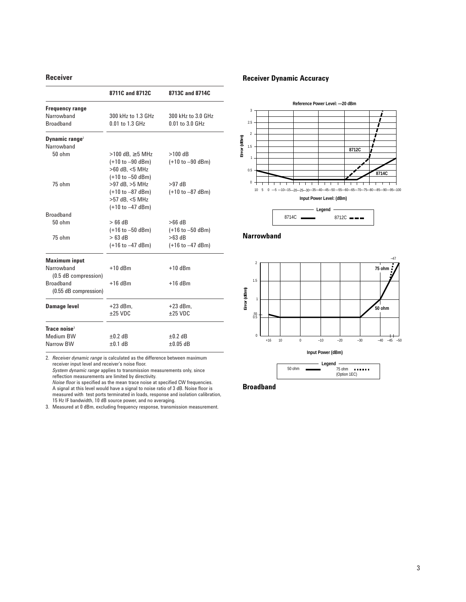#### **Receiver**

|                                          | 8711C and 8712C                     | 8713C and 8714C                     |
|------------------------------------------|-------------------------------------|-------------------------------------|
| <b>Frequency range</b>                   |                                     |                                     |
| Narrowhand                               | 300 kHz to 1.3 GHz                  | 300 kHz to 3.0 GHz                  |
| <b>Broadband</b>                         | 0.01 to 1.3 GHz                     | 0.01 to 3.0 GHz                     |
| Dynamic range <sup>2</sup><br>Narrowhand |                                     |                                     |
| $50$ ohm                                 |                                     | $>100$ dB                           |
|                                          | $>100$ dB. $\geq$ 5 MHz             |                                     |
|                                          | $(+10 \text{ to } -90 \text{ dBm})$ | $(+10 to -90 dBm)$                  |
|                                          | >60 dB, <5 MHz                      |                                     |
| $75$ ohm                                 | (+10 to -50 dBm)<br>>97 dB. >5 MHz  | $>97$ dB                            |
|                                          | $(+10 to -87 dB)$                   | $(+10 to -87 dB)$                   |
|                                          | >57 dB, <5 MHz                      |                                     |
|                                          |                                     |                                     |
| <b>Broadband</b>                         | $(+10 \text{ to } -47 \text{ dBm})$ |                                     |
| $50$ ohm                                 | $>66$ dB                            | $>66$ dB                            |
|                                          | $(+16 \text{ to } -50 \text{ dBm})$ | $(+16 \text{ to } -50 \text{ dBm})$ |
| 75 ohm                                   | $>63$ dB                            | $>63$ dB                            |
|                                          | $(+16 \text{ to } -47 \text{ dBm})$ | $(+16$ to $-47$ dBm)                |
|                                          |                                     |                                     |
| <b>Maximum input</b>                     |                                     |                                     |
| Narrowhand                               | $+10$ dBm                           | $+10$ dBm                           |
| $(0.5$ dB compression)                   |                                     |                                     |
| <b>Broadband</b>                         | $+16$ dBm                           | $+16$ dBm                           |
| (0.55 dB compression)                    |                                     |                                     |
| Damage level                             | $+23$ dBm.                          | $+23$ dBm.                          |
|                                          | $±25$ VDC                           | $±25$ VDC                           |
|                                          |                                     |                                     |
| Trace noise <sup>3</sup>                 |                                     |                                     |
| Medium BW                                | $\pm 0.2$ dB                        | $±0.2$ dB                           |
| Narrow BW                                | $±0.1$ dB                           | $\pm 0.05$ dB                       |
|                                          |                                     |                                     |

2. *Receiver dynamic range* is calculated as the difference between maximum receiver input level and receiver's noise floor.

*System dynamic range* applies to transmission measurements only, since reflection measurements are limited by directivity. *Noise floor* is specified as the mean trace noise at specified CW frequencies. A signal at this level would have a signal to noise ratio of 3 dB. Noise floor is

measured with test ports terminated in loads, response and isolation calibration, 15 Hz IF bandwidth, 10 dB source power, and no averaging.

3. Measured at 0 dBm, excluding frequency response, transmission measurement.

#### **Receiver Dynamic Accuracy**









**Broadband**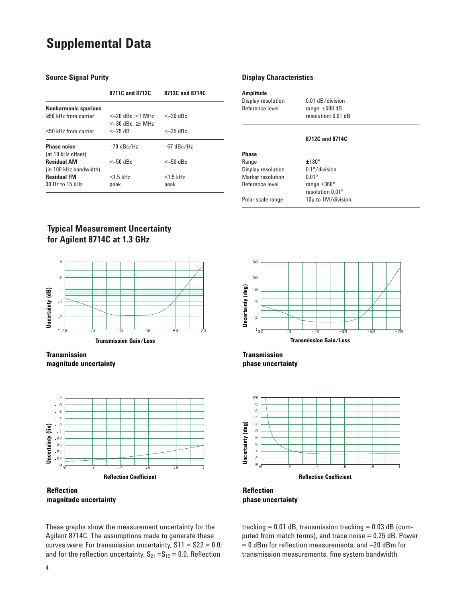## **Supplemental Data**

## **Source Signal Purity**

|                                              | 8711C and 8712C                           | 8713C and 8714C     |
|----------------------------------------------|-------------------------------------------|---------------------|
| <b>Nonharmonic spurious</b>                  |                                           |                     |
| $>50$ kHz from carrier                       | $<-20$ dBc. $<1$ MHz                      | $<-30$ dBc          |
| <50 kHz from carrier                         | $\leq -30$ dBc. $\geq 1$ MHz<br>$<-25$ dB | $<-25$ dBc          |
| <b>Phase noise</b>                           | $-70$ dBc/Hz                              | $-67$ dBc/Hz        |
| (at 10 kHz offset)                           |                                           |                     |
| <b>Residual AM</b><br>(in 100 kHz bandwidth) | $<-50$ dBc                                | $<-50$ dBc          |
| <b>Residual FM</b><br>30 Hz to 15 kHz        | $<$ 1.5 kHz<br>peak                       | $<$ 1.5 kHz<br>peak |
|                                              |                                           |                     |

#### **Display Characteristics**

| Amplitude<br>Display resolution<br>Reference level | $0.01$ dB/division<br>range: $\pm 500$ dB<br>resolution: 0.01 dB |
|----------------------------------------------------|------------------------------------------------------------------|
|                                                    | 8712C and 8714C                                                  |
|                                                    |                                                                  |
| <b>Phase</b>                                       |                                                                  |
| Range                                              | $±180^{\circ}$                                                   |
| Display resolution                                 | $0.1^{\circ}$ /division                                          |
| Marker resolution                                  | $0.01^\circ$                                                     |
| Reference level                                    | range $\pm 360^\circ$                                            |
|                                                    | resolution 0.01°                                                 |
| Polar scale range                                  | 10µ to 1M/division                                               |
|                                                    |                                                                  |

## **Typical Measurement Uncertainty for Agilent 8714C at 1.3 GHz**



**Transmission magnitude uncertainty**



**Reflection magnitude uncertainty**

These graphs show the measurement uncertainty for the Agilent 8714C. The assumptions made to generate these curves were: For transmission uncertainty, S11 = S22 = 0.0; and for the reflection uncertainty,  $S_{21} = S_{12} = 0.0$ . Reflection



**Transmission phase uncertainty**



**Reflection phase uncertainty**

tracking  $= 0.01$  dB, transmission tracking  $= 0.03$  dB (computed from match terms), and trace noise = 0.25 dB. Power = 0 dBm for reflection measurements, and –20 dBm for transmission measurements, fine system bandwidth.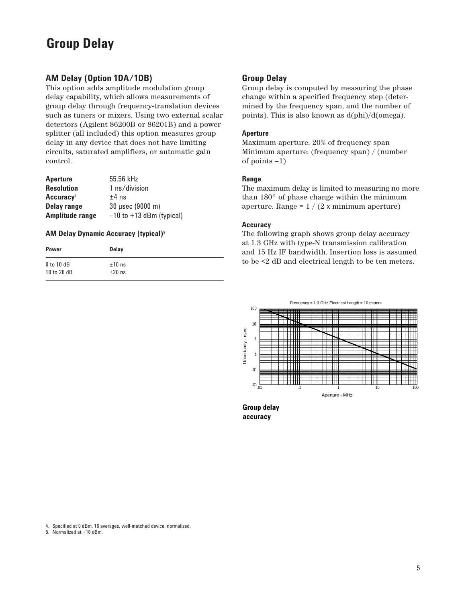## **Group Delay**

## **AM Delay (Option 1DA/1DB)**

This option adds amplitude modulation group delay capability, which allows measurements of group delay through frequency-translation devices such as tuners or mixers. Using two external scalar detectors (Agilent 86200B or 86201B) and a power splitter (all included) this option measures group delay in any device that does not have limiting circuits, saturated amplifiers, or automatic gain control.

| <b>Aperture</b>       | 55.56 kHz                    |
|-----------------------|------------------------------|
| <b>Resolution</b>     | 1 ns/division                |
| Accuracy <sup>4</sup> | $±4$ ns                      |
| Delay range           | 30 µsec (9000 m)             |
| Amplitude range       | $-10$ to $+13$ dBm (typical) |

#### **AM Delay Dynamic Accuracy (typical)5**

| <b>Power</b>   | <b>Delay</b> |
|----------------|--------------|
| $0$ to $10$ dB | $±10$ ns     |
| 10 to 20 dB    | $±20$ ns     |

## **Group Delay**

Group delay is computed by measuring the phase change within a specified frequency step (determined by the frequency span, and the number of points). This is also known as d(phi)/d(omega).

#### **Aperture**

Maximum aperture: 20% of frequency span Minimum aperture: (frequency span) / (number of points –1)

#### **Range**

The maximum delay is limited to measuring no more than 180° of phase change within the minimum aperture. Range =  $1/(2 \times \text{minimum aperture})$ 

#### **Accuracy**

The following graph shows group delay accuracy at 1.3 GHz with type-N transmission calibration and 15 Hz IF bandwidth. Insertion loss is assumed to be <2 dB and electrical length to be ten meters.



**Group delay accuracy**

4. Specified at 0 dBm, 16 averages, well-matched device, normalized.

5. Normalized at +10 dBm.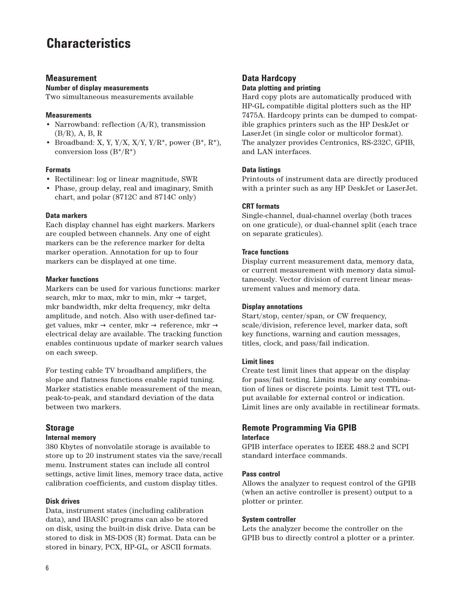## **Characteristics**

## **Measurement**

#### **Number of display measurements**

Two simultaneous measurements available

#### **Measurements**

- Narrowband: reflection (A/R), transmission (B/R), A, B, R
- Broadband: X, Y, Y/X, X/Y, Y/R<sup>\*</sup>, power  $(B^*, R^*)$ , conversion loss  $(B^*/R^*)$

#### **Formats**

- Rectilinear: log or linear magnitude, SWR
- Phase, group delay, real and imaginary, Smith chart, and polar (8712C and 8714C only)

#### **Data markers**

Each display channel has eight markers. Markers are coupled between channels. Any one of eight markers can be the reference marker for delta marker operation. Annotation for up to four markers can be displayed at one time.

#### **Marker functions**

Markers can be used for various functions: marker search, mkr to max, mkr to min, mkr  $\rightarrow$  target, mkr bandwidth, mkr delta frequency, mkr delta amplitude, and notch. Also with user-defined target values, mkr  $\rightarrow$  center, mkr  $\rightarrow$  reference, mkr  $\rightarrow$ electrical delay are available. The tracking function enables continuous update of marker search values on each sweep.

For testing cable TV broadband amplifiers, the slope and flatness functions enable rapid tuning. Marker statistics enable measurement of the mean, peak-to-peak, and standard deviation of the data between two markers.

## **Storage**

## **Internal memory**

380 Kbytes of nonvolatile storage is available to store up to 20 instrument states via the save/recall menu. Instrument states can include all control settings, active limit lines, memory trace data, active calibration coefficients, and custom display titles.

## **Disk drives**

Data, instrument states (including calibration data), and IBASIC programs can also be stored on disk, using the built-in disk drive. Data can be stored to disk in MS-DOS (R) format. Data can be stored in binary, PCX, HP-GL, or ASCII formats.

## **Data Hardcopy Data plotting and printing**

Hard copy plots are automatically produced with HP-GL compatible digital plotters such as the HP 7475A. Hardcopy prints can be dumped to compatible graphics printers such as the HP DeskJet or LaserJet (in single color or multicolor format). The analyzer provides Centronics, RS-232C, GPIB, and LAN interfaces.

## **Data listings**

Printouts of instrument data are directly produced with a printer such as any HP DeskJet or LaserJet.

## **CRT formats**

Single-channel, dual-channel overlay (both traces on one graticule), or dual-channel split (each trace on separate graticules).

## **Trace functions**

Display current measurement data, memory data, or current measurement with memory data simultaneously. Vector division of current linear measurement values and memory data.

## **Display annotations**

Start/stop, center/span, or CW frequency, scale/division, reference level, marker data, soft key functions, warning and caution messages, titles, clock, and pass/fail indication.

## **Limit lines**

Create test limit lines that appear on the display for pass/fail testing. Limits may be any combination of lines or discrete points. Limit test TTL output available for external control or indication. Limit lines are only available in rectilinear formats.

## **Remote Programming Via GPIB**

#### **Interface**

GPIB interface operates to IEEE 488.2 and SCPI standard interface commands.

## **Pass control**

Allows the analyzer to request control of the GPIB (when an active controller is present) output to a plotter or printer.

## **System controller**

Lets the analyzer become the controller on the GPIB bus to directly control a plotter or a printer.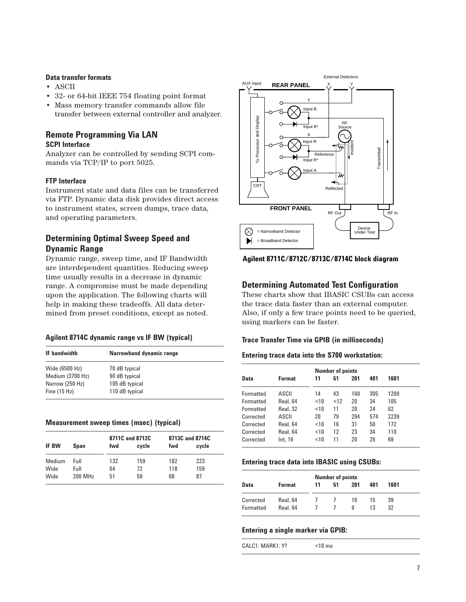#### **Data transfer formats**

- ASCII
- 32- or 64-bit IEEE 754 floating point format
- Mass memory transfer commands allow file transfer between external controller and analyzer.

## **Remote Programming Via LAN**

#### **SCPI Interface**

Analyzer can be controlled by sending SCPI commands via TCP/IP to port 5025.

#### **FTP Interface**

Instrument state and data files can be transferred via FTP. Dynamic data disk provides direct access to instrument states, screen dumps, trace data, and operating parameters.

## **Determining Optimal Sweep Speed and Dynamic Range**

Dynamic range, sweep time, and IF Bandwidth are interdependent quantities. Reducing sweep time usually results in a decrease in dynamic range. A compromise must be made depending upon the application. The following charts will help in making these tradeoffs. All data determined from preset conditions, except as noted.

#### **Agilent 8714C dynamic range vs IF BW (typical)**

| <b>IF</b> bandwidth                                                     | Narrowband dynamic range                                           |  |
|-------------------------------------------------------------------------|--------------------------------------------------------------------|--|
| Wide (6500 Hz)<br>Medium (3700 Hz)<br>Narrow (250 Hz)<br>Fine $(15 Hz)$ | 70 dB typical<br>90 dB typical<br>105 dB typical<br>110 dB typical |  |
|                                                                         |                                                                    |  |

#### **Measurement sweep times (msec) (typical)**

|              |         |     | 8711C and 8712C | 8713C and 8714C |       |
|--------------|---------|-----|-----------------|-----------------|-------|
| <b>IF BW</b> | Span    | fwd | cvcle           | fwd             | cycle |
| Medium       | Full    | 132 | 159             | 182             | 223   |
| Wide         | Full    | 64  | 72              | 118             | 159   |
| Wide         | 200 MHz | 51  | 59              | 68              | 87    |



**Agilent 8711C/8712C/8713C/8714C block diagram**

## **Determining Automated Test Configuration**

These charts show that IBASIC CSUBs can access the trace data faster than an external computer. Also, if only a few trace points need to be queried, using markers can be faster.

#### **Trace Transfer Time via GPIB (in milliseconds)**

#### **Entering trace data into the S700 workstation:**

|                  |          |      | <b>Number of points</b> |     |     |      |
|------------------|----------|------|-------------------------|-----|-----|------|
| Data             | Format   | 11   | 51                      | 201 | 401 | 1601 |
| <b>Formatted</b> | ASCII    | 14   | 43                      | 160 | 305 | 1200 |
| <b>Formatted</b> | Real, 64 | < 10 | <12                     | 20  | 34  | 105  |
| Formatted        | Real, 32 | < 10 | 11                      | 20  | 24  | 62   |
| Corrected        | ASCII    | 20   | 79                      | 294 | 574 | 2239 |
| Corrected        | Real, 64 | < 10 | 16                      | 31  | 50  | 172  |
| Corrected        | Real, 64 | < 10 | 12                      | 23  | 34  | 110  |
| Corrected        | Int, 16  | < 10 | 11                      | 20  | 26  | 69   |

#### **Entering trace data into IBASIC using CSUBs:**

| <b>Number of points</b> |               |    |    |     |     |      |  |
|-------------------------|---------------|----|----|-----|-----|------|--|
| <b>Data</b>             | <b>Format</b> | 11 | 51 | 201 | 401 | 1601 |  |
| Corrected               | Real, 64      |    |    | 10  | 15  | 39   |  |
| Formatted               | Real, 64      |    |    | 9   | 13  | 32   |  |

## **Entering a single marker via GPIB:**

CALC1: MARK1: Y? <10 ms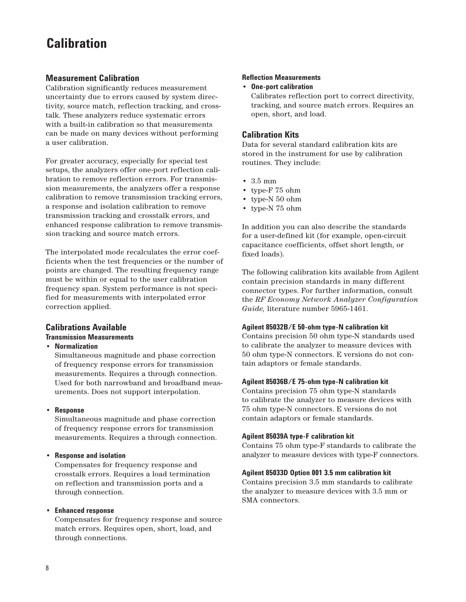## **Calibration**

## **Measurement Calibration**

Calibration significantly reduces measurement uncertainty due to errors caused by system directivity, source match, reflection tracking, and crosstalk. These analyzers reduce systematic errors with a built-in calibration so that measurements can be made on many devices without performing a user calibration.

For greater accuracy, especially for special test setups, the analyzers offer one-port reflection calibration to remove reflection errors. For transmission measurements, the analyzers offer a response calibration to remove transmission tracking errors, a response and isolation calibration to remove transmission tracking and crosstalk errors, and enhanced response calibration to remove transmission tracking and source match errors.

The interpolated mode recalculates the error coefficients when the test frequencies or the number of points are changed. The resulting frequency range must be within or equal to the user calibration frequency span. System performance is not specified for measurements with interpolated error correction applied.

## **Calibrations Available**

## **Transmission Measurements**

## • **Normalization**

Simultaneous magnitude and phase correction of frequency response errors for transmission measurements. Requires a through connection. Used for both narrowband and broadband measurements. Does not support interpolation.

#### • **Response**

Simultaneous magnitude and phase correction of frequency response errors for transmission measurements. Requires a through connection.

#### • **Response and isolation**

Compensates for frequency response and crosstalk errors. Requires a load termination on reflection and transmission ports and a through connection.

#### • **Enhanced response**

Compensates for frequency response and source match errors. Requires open, short, load, and through connections.

#### **Reflection Measurements**

• **One-port calibration**

Calibrates reflection port to correct directivity, tracking, and source match errors. Requires an open, short, and load.

## **Calibration Kits**

Data for several standard calibration kits are stored in the instrument for use by calibration routines. They include:

- 3.5 mm
- type-F 75 ohm
- type-N 50 ohm
- type-N 75 ohm

In addition you can also describe the standards for a user-defined kit (for example, open-circuit capacitance coefficients, offset short length, or fixed loads).

The following calibration kits available from Agilent contain precision standards in many different connector types. For further information, consult the *RF Economy Network Analyzer Configuration Guide,* literature number 5965-1461.

## **Agilent 85032B/E 50-ohm type-N calibration kit**

Contains precision 50 ohm type-N standards used to calibrate the analyzer to measure devices with 50 ohm type-N connectors. E versions do not contain adaptors or female standards.

#### **Agilent 85036B/E 75-ohm type-N calibration kit**

Contains precision 75 ohm type-N standards to calibrate the analyzer to measure devices with 75 ohm type-N connectors. E versions do not contain adaptors or female standards.

#### **Agilent 85039A type-F calibration kit**

Contains 75 ohm type-F standards to calibrate the analyzer to measure devices with type-F connectors.

#### **Agilent 85033D Option 001 3.5 mm calibration kit**

Contains precision 3.5 mm standards to calibrate the analyzer to measure devices with 3.5 mm or SMA connectors.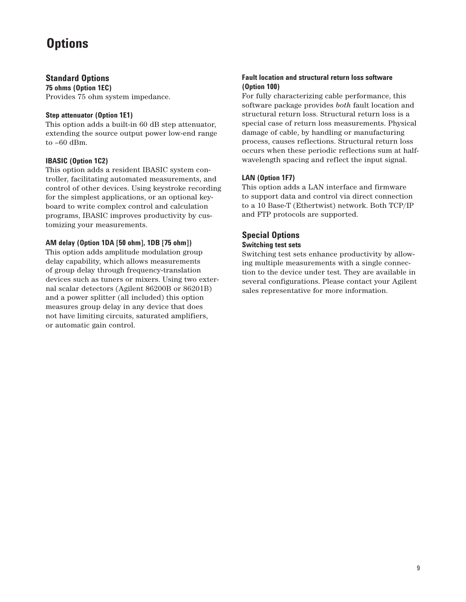## **Options**

## **Standard Options**

**75 ohms (Option 1EC)**  Provides 75 ohm system impedance.

## **Step attenuator (Option 1E1)**

This option adds a built-in 60 dB step attenuator, extending the source output power low-end range to –60 dBm.

## **IBASIC (Option 1C2)**

This option adds a resident IBASIC system controller, facilitating automated measurements, and control of other devices. Using keystroke recording for the simplest applications, or an optional keyboard to write complex control and calculation programs, IBASIC improves productivity by customizing your measurements.

## **AM delay (Option 1DA [50 ohm], 1DB [75 ohm])**

This option adds amplitude modulation group delay capability, which allows measurements of group delay through frequency-translation devices such as tuners or mixers. Using two external scalar detectors (Agilent 86200B or 86201B) and a power splitter (all included) this option measures group delay in any device that does not have limiting circuits, saturated amplifiers, or automatic gain control.

## **Fault location and structural return loss software (Option 100)**

For fully characterizing cable performance, this software package provides *both* fault location and structural return loss. Structural return loss is a special case of return loss measurements. Physical damage of cable, by handling or manufacturing process, causes reflections. Structural return loss occurs when these periodic reflections sum at halfwavelength spacing and reflect the input signal.

## **LAN (Option 1F7)**

This option adds a LAN interface and firmware to support data and control via direct connection to a 10 Base-T (Ethertwist) network. Both TCP/IP and FTP protocols are supported.

## **Special Options Switching test sets**

Switching test sets enhance productivity by allowing multiple measurements with a single connection to the device under test. They are available in several configurations. Please contact your Agilent sales representative for more information.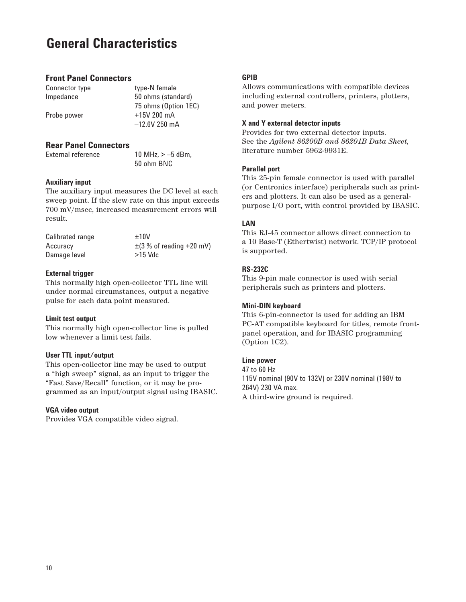## **General Characteristics**

## **Front Panel Connectors**

Connector type type-N female

Impedance 50 ohms (standard) 75 ohms (Option 1EC) Probe power  $+15V 200 mA$ –12.6V 250 mA

## **Rear Panel Connectors**

External reference 10 MHz, > –5 dBm,

50 ohm BNC

#### **Auxiliary input**

The auxiliary input measures the DC level at each sweep point. If the slew rate on this input exceeds 700 mV/msec, increased measurement errors will result.

| Calibrated range | $+10V$                        |
|------------------|-------------------------------|
| Accuracy         | $\pm$ (3 % of reading +20 mV) |
| Damage level     | $>15$ Vdc                     |

## **External trigger**

This normally high open-collector TTL line will under normal circumstances, output a negative pulse for each data point measured.

#### **Limit test output**

This normally high open-collector line is pulled low whenever a limit test fails.

## **User TTL input/output**

This open-collector line may be used to output a "high sweep" signal, as an input to trigger the "Fast Save/Recall" function, or it may be programmed as an input/output signal using IBASIC.

## **VGA video output**

Provides VGA compatible video signal.

## **GPIB**

Allows communications with compatible devices including external controllers, printers, plotters, and power meters.

#### **X and Y external detector inputs**

Provides for two external detector inputs. See the *Agilent 86200B and 86201B Data Sheet,* literature number 5962-9931E.

#### **Parallel port**

This 25-pin female connector is used with parallel (or Centronics interface) peripherals such as printers and plotters. It can also be used as a generalpurpose I/O port, with control provided by IBASIC.

#### **LAN**

This RJ-45 connector allows direct connection to a 10 Base-T (Ethertwist) network. TCP/IP protocol is supported.

#### **RS-232C**

This 9-pin male connector is used with serial peripherals such as printers and plotters.

#### **Mini-DIN keyboard**

This 6-pin-connector is used for adding an IBM PC-AT compatible keyboard for titles, remote frontpanel operation, and for IBASIC programming (Option 1C2).

#### **Line power**

47 to 60 Hz 115V nominal (90V to 132V) or 230V nominal (198V to 264V) 230 VA max. A third-wire ground is required.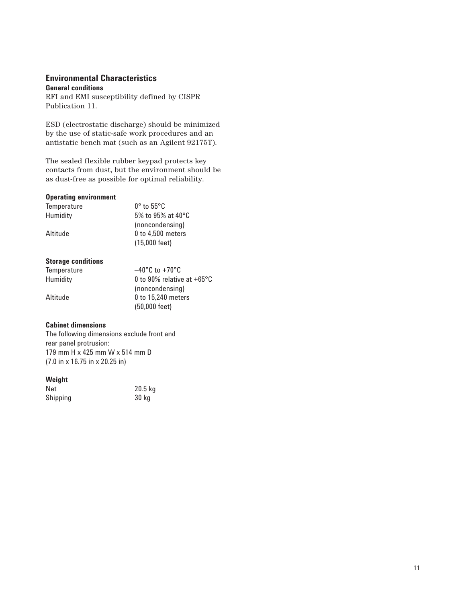## **Environmental Characteristics General conditions**

RFI and EMI susceptibility defined by CISPR Publication 11.

ESD (electrostatic discharge) should be minimized by the use of static-safe work procedures and an antistatic bench mat (such as an Agilent 92175T).

The sealed flexible rubber keypad protects key contacts from dust, but the environment should be as dust-free as possible for optimal reliability.

#### **Operating environment**

| $0^{\circ}$ to 55 $^{\circ}$ C |
|--------------------------------|
| 5% to 95% at 40 $^{\circ}$ C   |
| (noncondensing)                |
| 0 to 4.500 meters              |
| $(15,000 \text{ feet})$        |
|                                |

## **Storage conditions**

| $-40^{\circ}$ C to $+70^{\circ}$ C   |
|--------------------------------------|
| 0 to 90% relative at $+65^{\circ}$ C |
| (noncondensing)                      |
| 0 to 15.240 meters                   |
| $(50,000$ feet)                      |
|                                      |

## **Cabinet dimensions**

The following dimensions exclude front and rear panel protrusion: 179 mm H x 425 mm W x 514 mm D (7.0 in x 16.75 in x 20.25 in)

## **Weight**

| Net      | $20.5$ kg |
|----------|-----------|
| Shipping | 30 kg     |